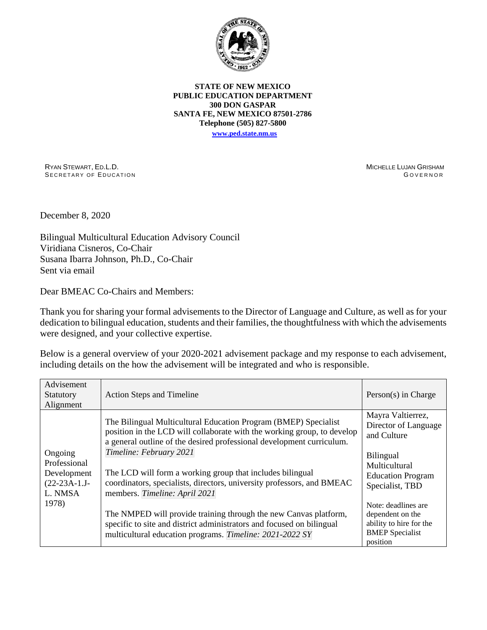

## **STATE OF NEW MEXICO PUBLIC EDUCATION DEPARTMENT 300 DON GASPAR SANTA FE, NEW MEXICO 87501-2786 Telephone (505) 827-5800 [www.ped.state.nm.us](http://webnew.ped.state.nm.us/)**

RYAN STEWART, ED.L.D. SECRETARY OF EDUCATION MICHELLE LUJAN GRISHAM **GOVERNOR** 

December 8, 2020

Bilingual Multicultural Education Advisory Council Viridiana Cisneros, Co-Chair Susana Ibarra Johnson, Ph.D., Co-Chair Sent via email

Dear BMEAC Co-Chairs and Members:

Thank you for sharing your formal advisements to the Director of Language and Culture, as well as for your dedication to bilingual education, students and their families, the thoughtfulness with which the advisements were designed, and your collective expertise.

Below is a general overview of your 2020-2021 advisement package and my response to each advisement, including details on the how the advisement will be integrated and who is responsible.

| Advisement<br>Statutory<br>Alignment                                         | <b>Action Steps and Timeline</b>                                                                                                                                                                                                                                                                                                                                                                                       | Person(s) in Charge                                                                                                                          |
|------------------------------------------------------------------------------|------------------------------------------------------------------------------------------------------------------------------------------------------------------------------------------------------------------------------------------------------------------------------------------------------------------------------------------------------------------------------------------------------------------------|----------------------------------------------------------------------------------------------------------------------------------------------|
| Ongoing<br>Professional<br>Development<br>$(22-23A-1.J-$<br>L. NMSA<br>1978) | The Bilingual Multicultural Education Program (BMEP) Specialist<br>position in the LCD will collaborate with the working group, to develop<br>a general outline of the desired professional development curriculum.<br>Timeline: February 2021<br>The LCD will form a working group that includes bilingual<br>coordinators, specialists, directors, university professors, and BMEAC<br>members. Timeline: April 2021 | Mayra Valtierrez,<br>Director of Language<br>and Culture<br><b>Bilingual</b><br>Multicultural<br><b>Education Program</b><br>Specialist, TBD |
|                                                                              | The NMPED will provide training through the new Canvas platform,<br>specific to site and district administrators and focused on bilingual<br>multicultural education programs. Timeline: 2021-2022 SY                                                                                                                                                                                                                  | Note: deadlines are<br>dependent on the<br>ability to hire for the<br><b>BMEP</b> Specialist<br>position                                     |